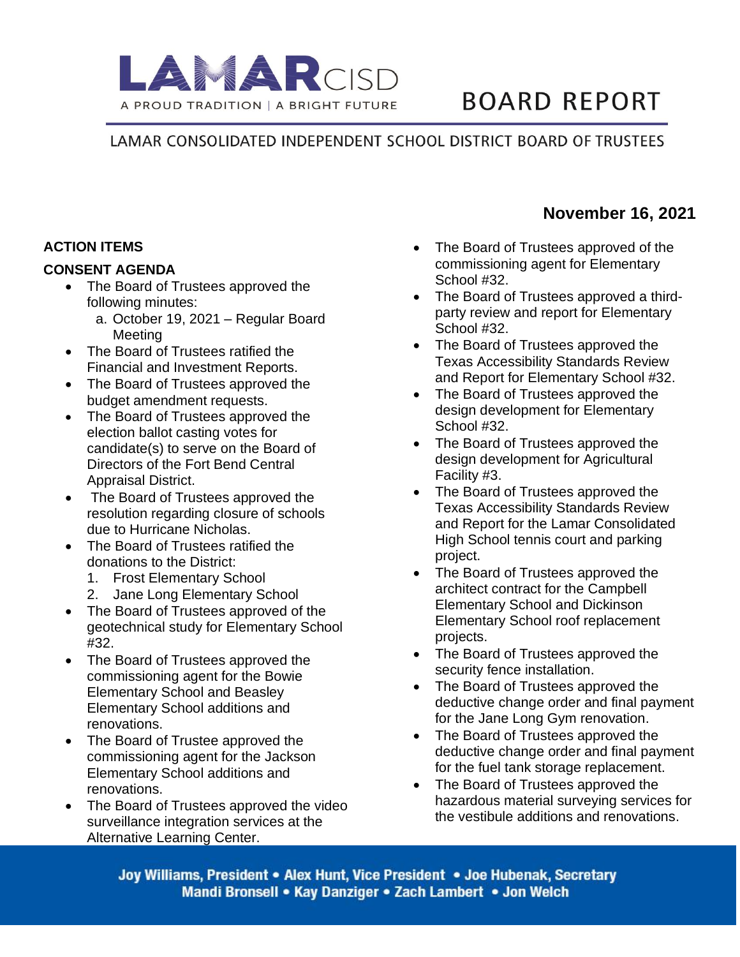

# **BOARD REPORT**

LAMAR CONSOLIDATED INDEPENDENT SCHOOL DISTRICT BOARD OF TRUSTEES

## **ACTION ITEMS**

#### **CONSENT AGENDA**

- The Board of Trustees approved the following minutes:
	- a. October 19, 2021 Regular Board Meeting
- The Board of Trustees ratified the Financial and Investment Reports.
- The Board of Trustees approved the budget amendment requests.
- The Board of Trustees approved the election ballot casting votes for candidate(s) to serve on the Board of Directors of the Fort Bend Central Appraisal District.
- The Board of Trustees approved the resolution regarding closure of schools due to Hurricane Nicholas.
- The Board of Trustees ratified the donations to the District:
	- 1. Frost Elementary School
	- 2. Jane Long Elementary School
- The Board of Trustees approved of the geotechnical study for Elementary School #32.
- The Board of Trustees approved the commissioning agent for the Bowie Elementary School and Beasley Elementary School additions and renovations.
- The Board of Trustee approved the commissioning agent for the Jackson Elementary School additions and renovations.
- The Board of Trustees approved the video surveillance integration services at the Alternative Learning Center.
- The Board of Trustees approved of the commissioning agent for Elementary School #32.
- The Board of Trustees approved a thirdparty review and report for Elementary School #32.
- The Board of Trustees approved the Texas Accessibility Standards Review and Report for Elementary School #32.
- The Board of Trustees approved the design development for Elementary School #32.
- The Board of Trustees approved the design development for Agricultural Facility #3.
- The Board of Trustees approved the Texas Accessibility Standards Review and Report for the Lamar Consolidated High School tennis court and parking project.
- The Board of Trustees approved the architect contract for the Campbell Elementary School and Dickinson Elementary School roof replacement projects.
- The Board of Trustees approved the security fence installation.
- The Board of Trustees approved the deductive change order and final payment for the Jane Long Gym renovation.
- The Board of Trustees approved the deductive change order and final payment for the fuel tank storage replacement.
- The Board of Trustees approved the hazardous material surveying services for the vestibule additions and renovations.

Joy Williams, President • Alex Hunt, Vice President • Joe Hubenak, Secretary Mandi Bronsell • Kay Danziger • Zach Lambert • Jon Welch

# **November 16, 2021**